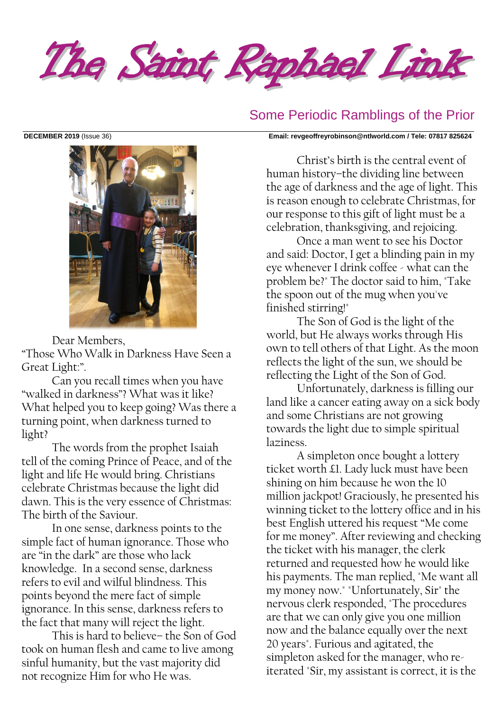



Dear Members, "Those Who Walk in Darkness Have Seen a Great Light:".

Can you recall times when you have "walked in darkness"? What was it like? What helped you to keep going? Was there a turning point, when darkness turned to light?

The words from the prophet Isaiah tell of the coming Prince of Peace, and of the light and life He would bring. Christians celebrate Christmas because the light did dawn. This is the very essence of Christmas: The birth of the Saviour.

In one sense, darkness points to the simple fact of human ignorance. Those who are "in the dark" are those who lack knowledge. In a second sense, darkness refers to evil and wilful blindness. This points beyond the mere fact of simple ignorance. In this sense, darkness refers to the fact that many will reject the light.

This is hard to believe– the Son of God took on human flesh and came to live among sinful humanity, but the vast majority did not recognize Him for who He was.

## Some Periodic Ramblings of the Prior

### **DECEMBER 2019** (Issue 36) **Email: [revgeoffreyrobinson@ntlworld.com](mailto:revgeoffreyrobinson@ntlworld.com) / Tele: 07817 825624**

Christ's birth is the central event of human history–the dividing line between the age of darkness and the age of light. This is reason enough to celebrate Christmas, for our response to this gift of light must be a celebration, thanksgiving, and rejoicing.

Once a man went to see his Doctor and said: Doctor, I get a blinding pain in my eye whenever I drink coffee - what can the problem be?" The doctor said to him, "Take the spoon out of the mug when you've finished stirring!"

The Son of God is the light of the world, but He always works through His own to tell others of that Light. As the moon reflects the light of the sun, we should be reflecting the Light of the Son of God.

Unfortunately, darkness is filling our land like a cancer eating away on a sick body and some Christians are not growing towards the light due to simple spiritual laziness.

A simpleton once bought a lottery ticket worth £1. Lady luck must have been shining on him because he won the 10 million jackpot! Graciously, he presented his winning ticket to the lottery office and in his best English uttered his request "Me come for me money". After reviewing and checking the ticket with his manager, the clerk returned and requested how he would like his payments. The man replied, "Me want all my money now." "Unfortunately, Sir" the nervous clerk responded, "The procedures are that we can only give you one million now and the balance equally over the next 20 years". Furious and agitated, the simpleton asked for the manager, who reiterated "Sir, my assistant is correct, it is the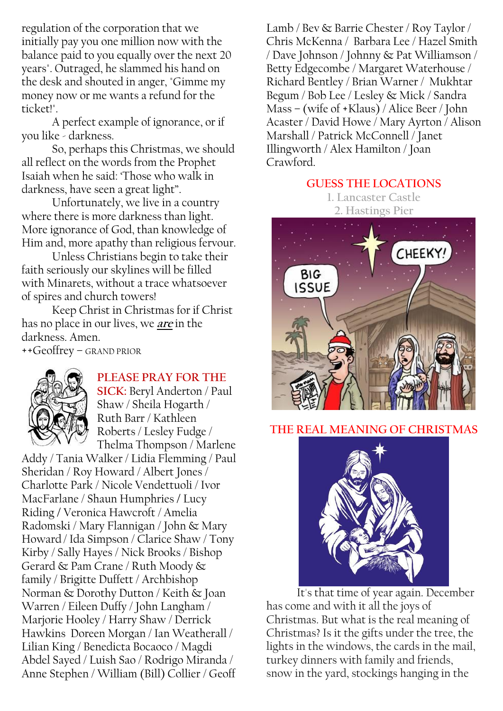regulation of the corporation that we initially pay you one million now with the balance paid to you equally over the next 20 years". Outraged, he slammed his hand on the desk and shouted in anger, "Gimme my money now or me wants a refund for the ticket!".

A perfect example of ignorance, or if you like - darkness.

So, perhaps this Christmas, we should all reflect on the words from the Prophet Isaiah when he said: 'Those who walk in darkness, have seen a great light".

Unfortunately, we live in a country where there is more darkness than light. More ignorance of God, than knowledge of Him and, more apathy than religious fervour.

Unless Christians begin to take their faith seriously our skylines will be filled with Minarets, without a trace whatsoever of spires and church towers!

Keep Christ in Christmas for if Christ has no place in our lives, we **are** in the darkness. Amen.

++Geoffrey – GRAND PRIOR



# **PLEASE PRAY FOR THE**

**SICK:** Beryl Anderton / Paul Shaw / Sheila Hogarth / Ruth Barr / Kathleen Roberts / Lesley Fudge / Thelma Thompson / Marlene

Addy / Tania Walker / Lidia Flemming / Paul Sheridan / Roy Howard / Albert Jones / Charlotte Park / Nicole Vendettuoli / Ivor MacFarlane / Shaun Humphries **/** Lucy Riding **/** Veronica Hawcroft / Amelia Radomski / Mary Flannigan / John & Mary Howard / Ida Simpson / Clarice Shaw / Tony Kirby / Sally Hayes / Nick Brooks / Bishop Gerard & Pam Crane / Ruth Moody & family / Brigitte Duffett / Archbishop Norman & Dorothy Dutton / Keith & Joan Warren / Eileen Duffy / John Langham / Marjorie Hooley / Harry Shaw / Derrick Hawkins Doreen Morgan / Ian Weatherall / Lilian King / Benedicta Bocaoco / Magdi Abdel Sayed / Luish Sao / Rodrigo Miranda / Anne Stephen / William (Bill) Collier / Geoff

Lamb / Bev & Barrie Chester / Roy Taylor / Chris McKenna / Barbara Lee / Hazel Smith / Dave Johnson / Johnny & Pat Williamson / Betty Edgecombe / Margaret Waterhouse / Richard Bentley / Brian Warner / Mukhtar Begum / Bob Lee / Lesley & Mick / Sandra Mass – (wife of +Klaus) / Alice Beer / John Acaster / David Howe / Mary Ayrton / Alison Marshall / Patrick McConnell / Janet Illingworth / Alex Hamilton / Joan Crawford.

## **GUESS THE LOCATIONS 1. Lancaster Castle**

**2. Hastings Pier**



**THE REAL MEANING OF CHRISTMAS**



It's that time of year again. December has come and with it all the joys of Christmas. But what is the real meaning of Christmas? Is it the gifts under the tree, the lights in the windows, the cards in the mail, turkey dinners with family and friends, snow in the yard, stockings hanging in the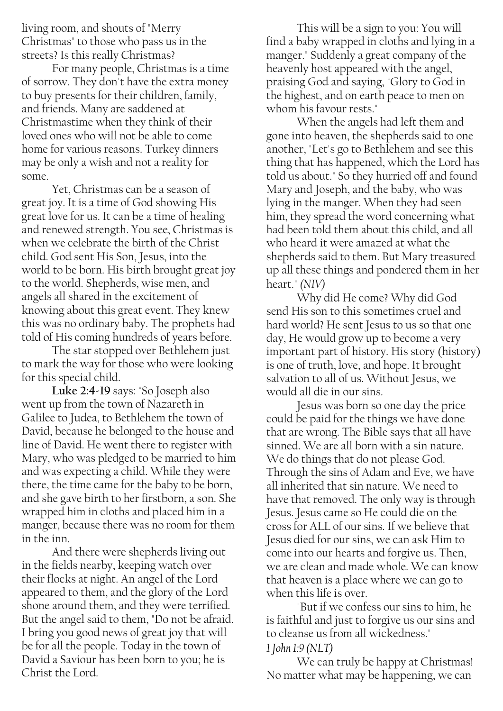living room, and shouts of "Merry Christmas" to those who pass us in the streets? Is this really Christmas?

For many people, Christmas is a time of sorrow. They don't have the extra money to buy presents for their children, family, and friends. Many are saddened at Christmastime when they think of their loved ones who will not be able to come home for various reasons. Turkey dinners may be only a wish and not a reality for some.

Yet, Christmas can be a season of great joy. It is a time of God showing His great love for us. It can be a time of healing and renewed strength. You see, Christmas is when we celebrate the birth of the Christ child. God sent His Son, Jesus, into the world to be born. His birth brought great joy to the world. Shepherds, wise men, and angels all shared in the excitement of knowing about this great event. They knew this was no ordinary baby. The prophets had told of His coming hundreds of years before.

The star stopped over Bethlehem just to mark the way for those who were looking for this special child.

**Luke 2:4-19** says: "So Joseph also went up from the town of Nazareth in Galilee to Judea, to Bethlehem the town of David, because he belonged to the house and line of David. He went there to register with Mary, who was pledged to be married to him and was expecting a child. While they were there, the time came for the baby to be born, and she gave birth to her firstborn, a son. She wrapped him in cloths and placed him in a manger, because there was no room for them in the inn.

And there were shepherds living out in the fields nearby, keeping watch over their flocks at night. An angel of the Lord appeared to them, and the glory of the Lord shone around them, and they were terrified. But the angel said to them, "Do not be afraid. I bring you good news of great joy that will be for all the people. Today in the town of David a Saviour has been born to you; he is Christ the Lord.

This will be a sign to you: You will find a baby wrapped in cloths and lying in a manger." Suddenly a great company of the heavenly host appeared with the angel, praising God and saying, "Glory to God in the highest, and on earth peace to men on whom his favour rests."

When the angels had left them and gone into heaven, the shepherds said to one another, "Let's go to Bethlehem and see this thing that has happened, which the Lord has told us about." So they hurried off and found Mary and Joseph, and the baby, who was lying in the manger. When they had seen him, they spread the word concerning what had been told them about this child, and all who heard it were amazed at what the shepherds said to them. But Mary treasured up all these things and pondered them in her heart." *(NIV)*

Why did He come? Why did God send His son to this sometimes cruel and hard world? He sent Jesus to us so that one day, He would grow up to become a very important part of history. His story (history) is one of truth, love, and hope. It brought salvation to all of us. Without Jesus, we would all die in our sins.

Jesus was born so one day the price could be paid for the things we have done that are wrong. The Bible says that all have sinned. We are all born with a sin nature. We do things that do not please God. Through the sins of Adam and Eve, we have all inherited that sin nature. We need to have that removed. The only way is through Jesus. Jesus came so He could die on the cross for ALL of our sins. If we believe that Jesus died for our sins, we can ask Him to come into our hearts and forgive us. Then, we are clean and made whole. We can know that heaven is a place where we can go to when this life is over.

"But if we confess our sins to him, he is faithful and just to forgive us our sins and to cleanse us from all wickedness." *1 John 1:9 (NLT)*

We can truly be happy at Christmas! No matter what may be happening, we can